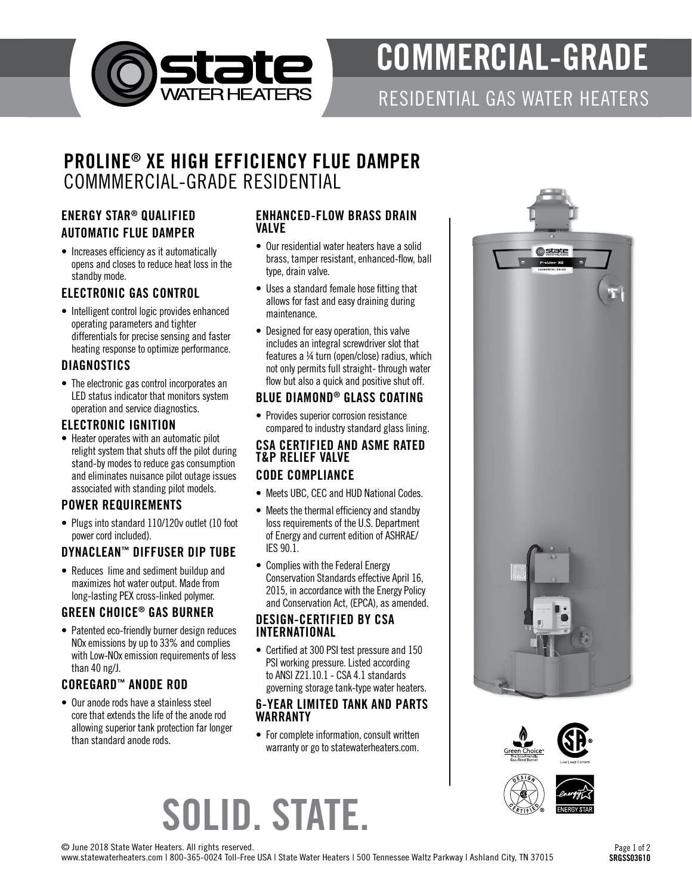

# COMMERCIAL-GRADE

RESIDENTIAL GAS WATER HEATERS

# PROLINE® XE HIGH EFFICIENCY FLUE DAMPER COMMMERCIAL-GRADE RESIDENTIAL

### ENERGY STAR® QUALIFIED AUTOMATIC FLUE DAMPER

• Increases efficiency as it automatically opens and closes to reduce heat loss in the standby mode.

#### ELECTRONIC GAS CONTROL

• Intelligent control logic provides enhanced operating parameters and tighter differentials for precise sensing and faster heating response to optimize performance.

#### **DIAGNOSTICS**

• The electronic gas control incorporates an LED status indicator that monitors system operation and service diagnostics.

#### ELECTRONIC IGNITION

• Heater operates with an automatic pilot relight system that shuts off the pilot during stand-by modes to reduce gas consumption and eliminates nuisance pilot outage issues associated with standing pilot models.

# POWER REQUIREMENTS

• Plugs into standard 110/120v outlet (10 foot power cord included).

# DYNACLEAN™ DIFFUSER DIP TUBE

• Reduces lime and sediment buildup and maximizes hot water output. Made from long-lasting PEX cross-linked polymer.

#### GREEN CHOICE® GAS BURNER

• Patented eco-friendly burner design reduces NOx emissions by up to 33% and complies with Low-NOx emission requirements of less than 40 ng/J.

# COREGARD™ ANODE ROD

• Our anode rods have a stainless steel core that extends the life of the anode rod allowing superior tank protection far longer than standard anode rods.

#### ENHANCED-FLOW BRASS DRAIN VALVE

- Our residential water heaters have a solid brass, tamper resistant, enhanced-flow, ball type, drain valve.
- Uses a standard female hose fitting that allows for fast and easy draining during maintenance.
- Designed for easy operation, this valve includes an integral screwdriver slot that features a ¼ turn (open/close) radius, which not only permits full straight- through water flow but also a quick and positive shut off.

#### BLUE DIAMOND® GLASS COATING

• Provides superior corrosion resistance compared to industry standard glass lining.

#### CSA CERTIFIED AND ASME RATED T&P RELIEF VALVE CODE COMPLIANCE

- Meets UBC, CEC and HUD National Codes.
- Meets the thermal efficiency and standby loss requirements of the U.S. Department of Energy and current edition of ASHRAE/ IES 90.1.
- Complies with the Federal Energy Conservation Standards effective April 16, 2015, in accordance with the Energy Policy and Conservation Act, (EPCA), as amended.

#### DESIGN-CERTIFIED BY CSA INTERNATIONAL

• Certified at 300 PSI test pressure and 150 PSI working pressure. Listed according to ANSI Z21.10.1 - CSA 4.1 standards governing storage tank-type water heaters.

#### 6-YEAR LIMITED TANK AND PARTS WARRANTY

• For complete information, consult written warranty or go to statewaterheaters.com.







© June 2018 State Water Heaters. All rights reserved.

www.statewaterheaters.com | 800-365-0024 Toll-Free USA | State Water Heaters | 500 Tennessee Waltz Parkway | Ashland City, TN 37015

SOLID. STATE.